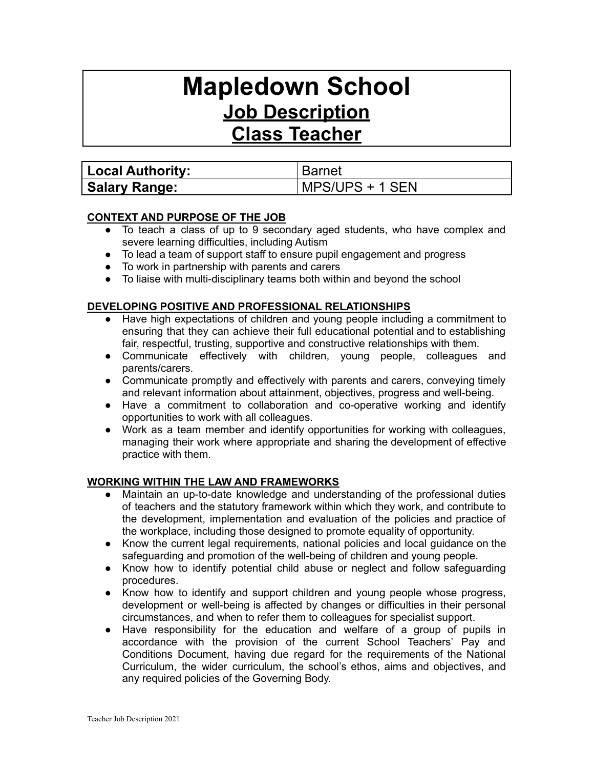# **Mapledown School Job Description**

**Class Teacher**

| <b>Local Authority:</b> | <b>Barnet</b>   |
|-------------------------|-----------------|
| <b>Salary Range:</b>    | MPS/UPS + 1 SEN |

# **CONTEXT AND PURPOSE OF THE JOB**

- To teach a class of up to 9 secondary aged students, who have complex and severe learning difficulties, including Autism
- To lead a team of support staff to ensure pupil engagement and progress
- To work in partnership with parents and carers
- To liaise with multi-disciplinary teams both within and beyond the school

# **DEVELOPING POSITIVE AND PROFESSIONAL RELATIONSHIPS**

- Have high expectations of children and young people including a commitment to ensuring that they can achieve their full educational potential and to establishing fair, respectful, trusting, supportive and constructive relationships with them.
- Communicate effectively with children, young people, colleagues and parents/carers.
- Communicate promptly and effectively with parents and carers, conveying timely and relevant information about attainment, objectives, progress and well-being.
- Have a commitment to collaboration and co-operative working and identify opportunities to work with all colleagues.
- Work as a team member and identify opportunities for working with colleagues, managing their work where appropriate and sharing the development of effective practice with them.

### **WORKING WITHIN THE LAW AND FRAMEWORKS**

- Maintain an up-to-date knowledge and understanding of the professional duties of teachers and the statutory framework within which they work, and contribute to the development, implementation and evaluation of the policies and practice of the workplace, including those designed to promote equality of opportunity.
- Know the current legal requirements, national policies and local guidance on the safeguarding and promotion of the well-being of children and young people.
- Know how to identify potential child abuse or neglect and follow safeguarding procedures.
- Know how to identify and support children and young people whose progress, development or well-being is affected by changes or difficulties in their personal circumstances, and when to refer them to colleagues for specialist support.
- Have responsibility for the education and welfare of a group of pupils in accordance with the provision of the current School Teachers' Pay and Conditions Document, having due regard for the requirements of the National Curriculum, the wider curriculum, the school's ethos, aims and objectives, and any required policies of the Governing Body.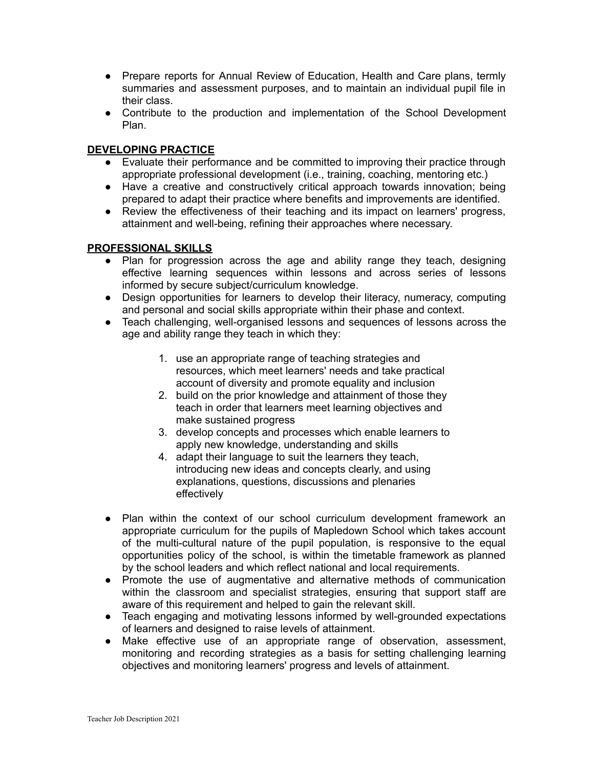- Prepare reports for Annual Review of Education, Health and Care plans, termly summaries and assessment purposes, and to maintain an individual pupil file in their class.
- Contribute to the production and implementation of the School Development Plan.

# **DEVELOPING PRACTICE**

- Evaluate their performance and be committed to improving their practice through appropriate professional development (i.e., training, coaching, mentoring etc.)
- Have a creative and constructively critical approach towards innovation; being prepared to adapt their practice where benefits and improvements are identified.
- Review the effectiveness of their teaching and its impact on learners' progress, attainment and well-being, refining their approaches where necessary.

#### **PROFESSIONAL SKILLS**

- Plan for progression across the age and ability range they teach, designing effective learning sequences within lessons and across series of lessons informed by secure subject/curriculum knowledge.
- Design opportunities for learners to develop their literacy, numeracy, computing and personal and social skills appropriate within their phase and context.
- Teach challenging, well-organised lessons and sequences of lessons across the age and ability range they teach in which they:
	- 1. use an appropriate range of teaching strategies and resources, which meet learners' needs and take practical account of diversity and promote equality and inclusion
	- 2. build on the prior knowledge and attainment of those they teach in order that learners meet learning objectives and make sustained progress
	- 3. develop concepts and processes which enable learners to apply new knowledge, understanding and skills
	- 4. adapt their language to suit the learners they teach, introducing new ideas and concepts clearly, and using explanations, questions, discussions and plenaries effectively
- Plan within the context of our school curriculum development framework an appropriate curriculum for the pupils of Mapledown School which takes account of the multi-cultural nature of the pupil population, is responsive to the equal opportunities policy of the school, is within the timetable framework as planned by the school leaders and which reflect national and local requirements.
- Promote the use of augmentative and alternative methods of communication within the classroom and specialist strategies, ensuring that support staff are aware of this requirement and helped to gain the relevant skill.
- Teach engaging and motivating lessons informed by well-grounded expectations of learners and designed to raise levels of attainment.
- Make effective use of an appropriate range of observation, assessment, monitoring and recording strategies as a basis for setting challenging learning objectives and monitoring learners' progress and levels of attainment.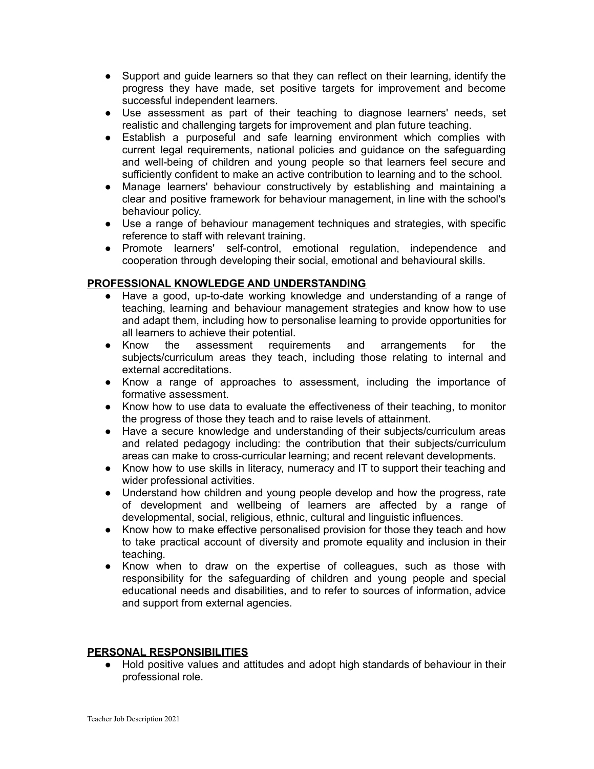- Support and guide learners so that they can reflect on their learning, identify the progress they have made, set positive targets for improvement and become successful independent learners.
- Use assessment as part of their teaching to diagnose learners' needs, set realistic and challenging targets for improvement and plan future teaching.
- Establish a purposeful and safe learning environment which complies with current legal requirements, national policies and guidance on the safeguarding and well-being of children and young people so that learners feel secure and sufficiently confident to make an active contribution to learning and to the school.
- Manage learners' behaviour constructively by establishing and maintaining a clear and positive framework for behaviour management, in line with the school's behaviour policy.
- Use a range of behaviour management techniques and strategies, with specific reference to staff with relevant training.
- Promote learners' self-control, emotional regulation, independence and cooperation through developing their social, emotional and behavioural skills.

### **PROFESSIONAL KNOWLEDGE AND UNDERSTANDING**

- Have a good, up-to-date working knowledge and understanding of a range of teaching, learning and behaviour management strategies and know how to use and adapt them, including how to personalise learning to provide opportunities for all learners to achieve their potential.
- Know the assessment requirements and arrangements for the subjects/curriculum areas they teach, including those relating to internal and external accreditations.
- Know a range of approaches to assessment, including the importance of formative assessment.
- Know how to use data to evaluate the effectiveness of their teaching, to monitor the progress of those they teach and to raise levels of attainment.
- Have a secure knowledge and understanding of their subjects/curriculum areas and related pedagogy including: the contribution that their subjects/curriculum areas can make to cross-curricular learning; and recent relevant developments.
- Know how to use skills in literacy, numeracy and IT to support their teaching and wider professional activities.
- Understand how children and young people develop and how the progress, rate of development and wellbeing of learners are affected by a range of developmental, social, religious, ethnic, cultural and linguistic influences.
- Know how to make effective personalised provision for those they teach and how to take practical account of diversity and promote equality and inclusion in their teaching.
- Know when to draw on the expertise of colleagues, such as those with responsibility for the safeguarding of children and young people and special educational needs and disabilities, and to refer to sources of information, advice and support from external agencies.

### **PERSONAL RESPONSIBILITIES**

● Hold positive values and attitudes and adopt high standards of behaviour in their professional role.